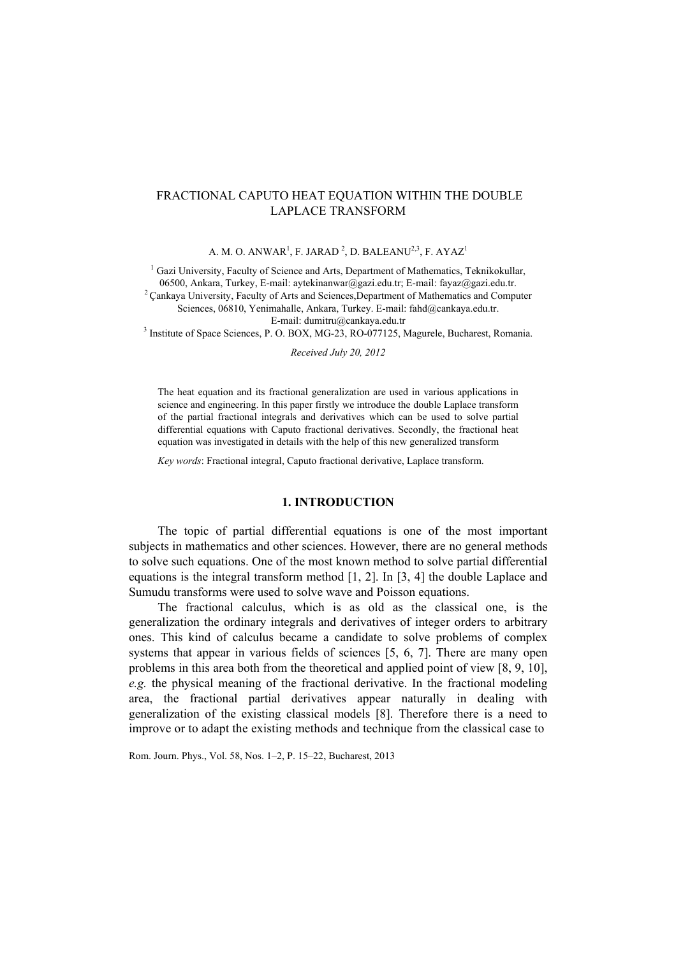# FRACTIONAL CAPUTO HEAT EQUATION WITHIN THE DOUBLE LAPLACE TRANSFORM

A. M. O. ANWAR<sup>1</sup>, F. JARAD<sup>2</sup>, D. BALEANU<sup>2,3</sup>, F. AYAZ<sup>1</sup>

<sup>1</sup> Gazi University, Faculty of Science and Arts, Department of Mathematics, Teknikokullar,

06500, Ankara, Turkey, E-mail: aytekinanwar@gazi.edu.tr; E-mail: fayaz@gazi.edu.tr. <sup>2</sup> Cankaya University, Faculty of Arts and Sciences,Department of Mathematics and Computer

Sciences, 06810, Yenimahalle, Ankara, Turkey. E-mail: fahd@cankaya.edu.tr.

E-mail: dumitru@cankaya.edu.tr<br><sup>3</sup> Institute of Space Sciences, P. O. BOX, MG-23, RO-077125, Magurele, Bucharest, Romania.

*Received July 20, 2012* 

The heat equation and its fractional generalization are used in various applications in science and engineering. In this paper firstly we introduce the double Laplace transform of the partial fractional integrals and derivatives which can be used to solve partial differential equations with Caputo fractional derivatives. Secondly, the fractional heat equation was investigated in details with the help of this new generalized transform

*Key words*: Fractional integral, Caputo fractional derivative, Laplace transform.

# **1. INTRODUCTION**

The topic of partial differential equations is one of the most important subjects in mathematics and other sciences. However, there are no general methods to solve such equations. One of the most known method to solve partial differential equations is the integral transform method [1, 2]. In [3, 4] the double Laplace and Sumudu transforms were used to solve wave and Poisson equations.

The fractional calculus, which is as old as the classical one, is the generalization the ordinary integrals and derivatives of integer orders to arbitrary ones. This kind of calculus became a candidate to solve problems of complex systems that appear in various fields of sciences [5, 6, 7]. There are many open problems in this area both from the theoretical and applied point of view [8, 9, 10], *e.g.* the physical meaning of the fractional derivative. In the fractional modeling area, the fractional partial derivatives appear naturally in dealing with generalization of the existing classical models [8]. Therefore there is a need to improve or to adapt the existing methods and technique from the classical case to

Rom. Journ. Phys., Vol. 58, Nos. 1–2, P. 15–22, Bucharest, 2013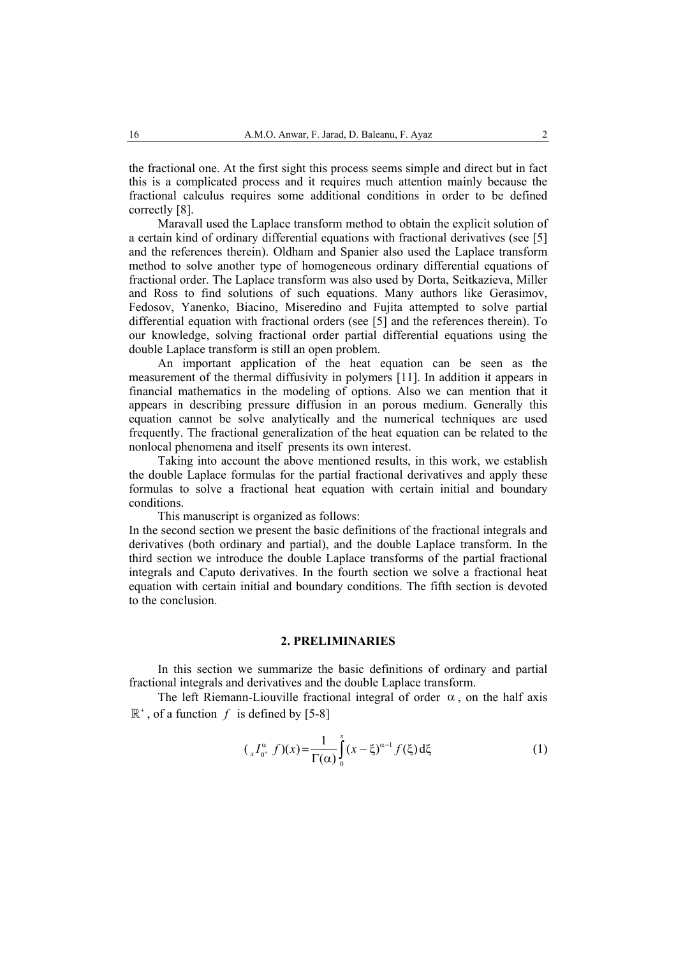the fractional one. At the first sight this process seems simple and direct but in fact this is a complicated process and it requires much attention mainly because the fractional calculus requires some additional conditions in order to be defined correctly [8].

Maravall used the Laplace transform method to obtain the explicit solution of a certain kind of ordinary differential equations with fractional derivatives (see [5] and the references therein). Oldham and Spanier also used the Laplace transform method to solve another type of homogeneous ordinary differential equations of fractional order. The Laplace transform was also used by Dorta, Seitkazieva, Miller and Ross to find solutions of such equations. Many authors like Gerasimov, Fedosov, Yanenko, Biacino, Miseredino and Fujita attempted to solve partial differential equation with fractional orders (see [5] and the references therein). To our knowledge, solving fractional order partial differential equations using the double Laplace transform is still an open problem.

An important application of the heat equation can be seen as the measurement of the thermal diffusivity in polymers [11]. In addition it appears in financial mathematics in the modeling of options. Also we can mention that it appears in describing pressure diffusion in an porous medium. Generally this equation cannot be solve analytically and the numerical techniques are used frequently. The fractional generalization of the heat equation can be related to the nonlocal phenomena and itself presents its own interest.

Taking into account the above mentioned results, in this work, we establish the double Laplace formulas for the partial fractional derivatives and apply these formulas to solve a fractional heat equation with certain initial and boundary conditions.

This manuscript is organized as follows:

In the second section we present the basic definitions of the fractional integrals and derivatives (both ordinary and partial), and the double Laplace transform. In the third section we introduce the double Laplace transforms of the partial fractional integrals and Caputo derivatives. In the fourth section we solve a fractional heat equation with certain initial and boundary conditions. The fifth section is devoted to the conclusion.

# **2. PRELIMINARIES**

In this section we summarize the basic definitions of ordinary and partial fractional integrals and derivatives and the double Laplace transform.

The left Riemann-Liouville fractional integral of order  $\alpha$ , on the half axis  $\mathbb{R}^+$ , of a function *f* is defined by [5-8]

$$
({}_{x}I_{0^{+}}^{\alpha}f)(x) = \frac{1}{\Gamma(\alpha)}\int_{0}^{x} (x-\xi)^{\alpha-1} f(\xi) d\xi
$$
 (1)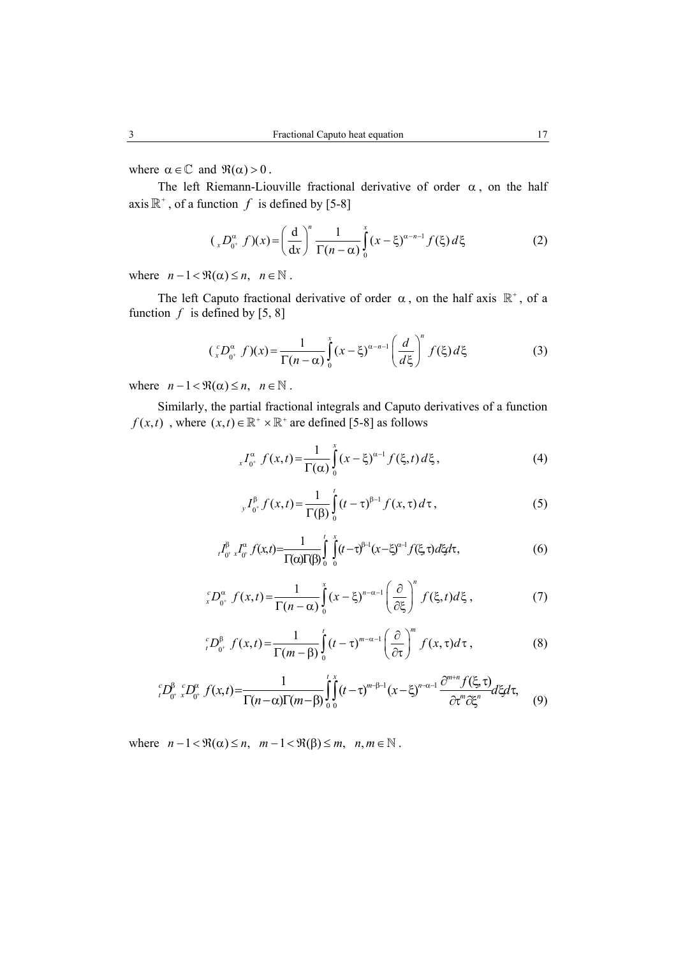where  $\alpha \in \mathbb{C}$  and  $\Re(\alpha) > 0$ .

The left Riemann-Liouville fractional derivative of order  $\alpha$ , on the half axis  $\mathbb{R}^+$ , of a function *f* is defined by [5-8]

$$
({}_{x}D_{0^{+}}^{\alpha} f)(x) = \left(\frac{d}{dx}\right)^{n} \frac{1}{\Gamma(n-\alpha)} \int_{0}^{x} (x - \xi)^{\alpha - n - 1} f(\xi) d\xi
$$
 (2)

where  $n-1 < \Re(\alpha) \le n$ ,  $n \in \mathbb{N}$ .

The left Caputo fractional derivative of order  $\alpha$ , on the half axis  $\mathbb{R}^+$ , of a function  $f$  is defined by [5, 8]

$$
(\,_{x}^{c}D_{0^{+}}^{\alpha}f)(x) = \frac{1}{\Gamma(n-\alpha)}\int_{0}^{x}(x-\xi)^{\alpha-n-1}\left(\frac{d}{d\xi}\right)^{n}f(\xi)\,d\xi\tag{3}
$$

where  $n - 1 < \Re(\alpha) \le n, \quad n \in \mathbb{N}$ .

Similarly, the partial fractional integrals and Caputo derivatives of a function  $f(x,t)$ , where  $(x,t) \in \mathbb{R}^+ \times \mathbb{R}^+$  are defined [5-8] as follows

$$
{}_{x}I_{0^{+}}^{\alpha} f(x,t) = \frac{1}{\Gamma(\alpha)} \int_{0}^{x} (x - \xi)^{\alpha - 1} f(\xi, t) d\xi, \qquad (4)
$$

$$
{}_{y}I_{0^{+}}^{\beta}f(x,t) = \frac{1}{\Gamma(\beta)} \int_{0}^{t} (t-\tau)^{\beta-1} f(x,\tau) d\tau, \qquad (5)
$$

$$
{}_{t}I_{0^{+}}^{\beta}x_{0^{+}}^{\alpha}f(x,t) = \frac{1}{\Gamma(\alpha)\Gamma(\beta)}\int_{0}^{t}\int_{0}^{x}(t-\tau)^{\beta-1}(x-\xi)^{\alpha-1}f(\xi,\tau)d\xi d\tau, \qquad (6)
$$

$$
{}_{x}^{c}D_{0^{+}}^{\alpha}f(x,t)=\frac{1}{\Gamma(n-\alpha)}\int_{0}^{x}(x-\xi)^{n-\alpha-1}\left(\frac{\partial}{\partial\xi}\right)^{n}f(\xi,t)d\xi,
$$
\n(7)

$$
{}_{t}^{c}D_{0^{+}}^{\beta}f(x,t) = \frac{1}{\Gamma(m-\beta)}\int_{0}^{t}(t-\tau)^{m-\alpha-1}\left(\frac{\partial}{\partial\tau}\right)^{m}f(x,\tau)d\tau, \tag{8}
$$

$$
{}_{t}^{c}D_{0^{+}}^{\beta} {}_{x}^{c}D_{0^{+}}^{\alpha} f(x,t) = \frac{1}{\Gamma(n-\alpha)\Gamma(m-\beta)} \int_{0}^{t} \int_{0}^{x} (t-\tau)^{m-\beta-1} (x-\xi)^{n-\alpha-1} \frac{\partial^{m+n} f(\xi,\tau)}{\partial \tau^{m} \partial \xi^{n}} d\xi d\tau, \tag{9}
$$

where  $n-1 < \Re(\alpha) \le n$ ,  $m-1 < \Re(\beta) \le m$ ,  $n, m \in \mathbb{N}$ .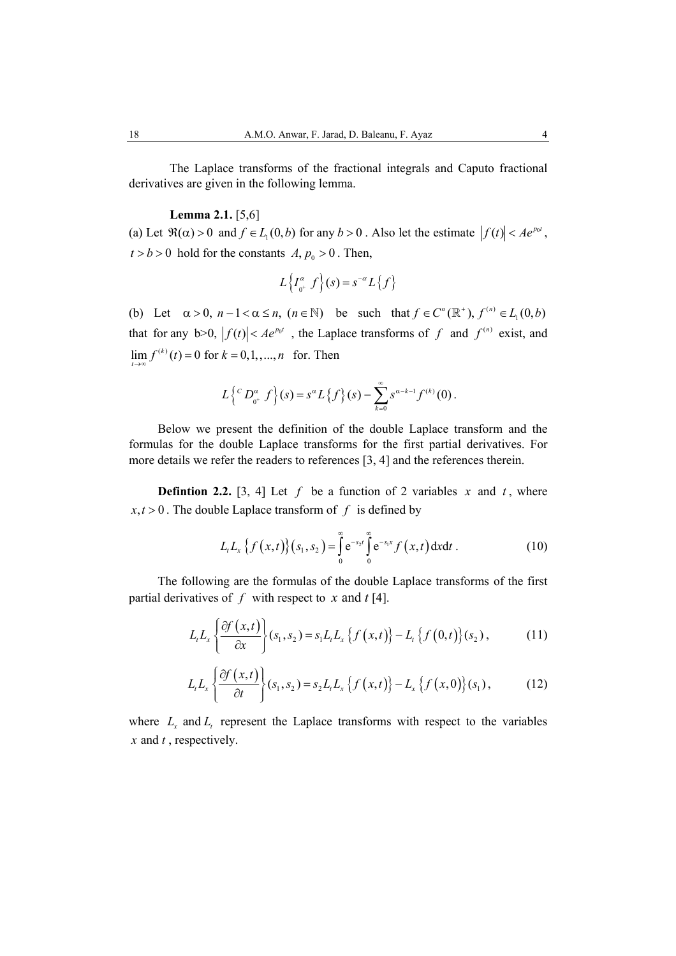The Laplace transforms of the fractional integrals and Caputo fractional derivatives are given in the following lemma.

## **Lemma 2.1.** [5,6]

(a) Let  $\Re(\alpha) > 0$  and  $f \in L_1(0, b)$  for any  $b > 0$ . Also let the estimate  $|f(t)| < Ae^{p_0 t}$ ,  $t > b > 0$  hold for the constants  $A, p_0 > 0$ . Then,

$$
L\left\{I_{0^+}^{\alpha} f\right\}(s) = s^{-\alpha} L\left\{f\right\}
$$

(b) Let  $\alpha > 0$ ,  $n - 1 < \alpha \le n$ ,  $(n \in \mathbb{N})$  be such that  $f \in C^n(\mathbb{R}^+)$ ,  $f^{(n)} \in L_1(0, b)$ that for any b>0,  $|f(t)| < Ae^{p_0 t}$ , the Laplace transforms of f and  $f^{(n)}$  exist, and  $\lim_{t \to \infty} f^{(k)}(t) = 0$  for  $k = 0,1,...,n$  for. Then

$$
L\left\{ {^C D}_{0^+}^{\alpha} f \right\}(s) = s^{\alpha} L\left\{f\right\}(s) - \sum_{k=0}^{\infty} s^{\alpha-k-1} f^{(k)}(0).
$$

Below we present the definition of the double Laplace transform and the formulas for the double Laplace transforms for the first partial derivatives. For more details we refer the readers to references [3, 4] and the references therein.

**Defintion 2.2.** [3, 4] Let  $f$  be a function of 2 variables  $x$  and  $t$ , where  $x, t > 0$ . The double Laplace transform of f is defined by

$$
L_t L_x \{ f(x,t) \} (s_1, s_2) = \int_0^\infty e^{-s_2 t} \int_0^\infty e^{-s_1 x} f(x,t) dx dt . \tag{10}
$$

The following are the formulas of the double Laplace transforms of the first partial derivatives of  $f$  with respect to  $x$  and  $t$  [4].

$$
L_t L_x \left\{ \frac{\partial f(x,t)}{\partial x} \right\} (s_1, s_2) = s_1 L_t L_x \left\{ f(x,t) \right\} - L_t \left\{ f(0,t) \right\} (s_2), \tag{11}
$$

$$
L_t L_x \left\{ \frac{\partial f(x,t)}{\partial t} \right\} (s_1, s_2) = s_2 L_t L_x \left\{ f(x,t) \right\} - L_x \left\{ f(x,0) \right\} (s_1), \tag{12}
$$

where  $L_x$  and  $L_t$  represent the Laplace transforms with respect to the variables *x* and *t* , respectively.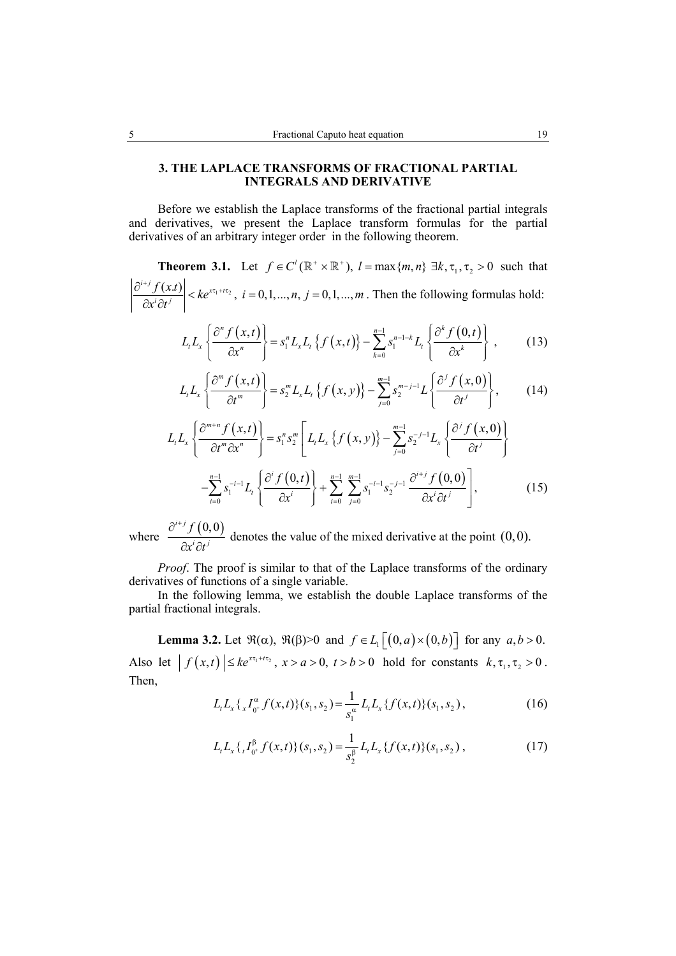### **3. THE LAPLACE TRANSFORMS OF FRACTIONAL PARTIAL INTEGRALS AND DERIVATIVE**

Before we establish the Laplace transforms of the fractional partial integrals and derivatives, we present the Laplace transform formulas for the partial derivatives of an arbitrary integer order in the following theorem.

**Theorem 3.1.** Let  $f \in C^l(\mathbb{R}^* \times \mathbb{R}^*)$ ,  $l = \max\{m, n\} \exists k, \tau_1, \tau_2 > 0$  such that  $\left|\frac{i+j f(x,t)}{2} \right| < k e^{x \tau_1 + t \tau_2}, i = 0,1,...,n, j = 0,1,...,$  $\left| \frac{f(x,t)}{f(x)} \right|$  <  $ke^{x\tau_1 + t\tau_2}$ ,  $i = 0, 1, ..., n, j = 0, 1, ..., m$  $x^i\partial t$  $\left. \frac{\partial^{i+j} f(x,t)}{\partial x^i} \right| < k e^{x \tau_1 + t \tau_2}, \ i = 0, 1, ..., n, j = 1$  $\left|\frac{\partial f(x,y)}{\partial x^i \partial t^j}\right|$  <  $ke^{xt_1 + tx_2}$ ,  $i = 0,1,...,n$ ,  $j = 0,1,...,m$ . Then the following formulas hold:

$$
L_{t}L_{x}\left\{\frac{\partial^{n} f(x,t)}{\partial x^{n}}\right\} = s_{1}^{n}L_{x}L_{t}\left\{f(x,t)\right\} - \sum_{k=0}^{n-1} s_{1}^{n-1-k}L_{t}\left\{\frac{\partial^{k} f(0,t)}{\partial x^{k}}\right\},\qquad(13)
$$

$$
L_t L_x \left\{ \frac{\partial^m f(x,t)}{\partial t^m} \right\} = s_2^m L_x L_t \left\{ f(x,y) \right\} - \sum_{j=0}^{m-1} s_2^{m-j-1} L \left\{ \frac{\partial^j f(x,0)}{\partial t^j} \right\}, \tag{14}
$$

$$
L_{t}L_{x}\left\{\frac{\partial^{m+n} f(x,t)}{\partial t^{m} \partial x^{n}}\right\} = s_{1}^{n} s_{2}^{m} \left[L_{t}L_{x}\left\{f(x,y)\right\} - \sum_{j=0}^{m-1} s_{2}^{-j-1} L_{x}\left\{\frac{\partial^{j} f(x,0)}{\partial t^{j}}\right\}\right] - \sum_{i=0}^{n-1} s_{1}^{-i-1} L_{t}\left\{\frac{\partial^{i} f(0,t)}{\partial x^{i}}\right\} + \sum_{i=0}^{n-1} \sum_{j=0}^{m-1} s_{1}^{-i-1} s_{2}^{-j-1} \frac{\partial^{i+j} f(0,0)}{\partial x^{i} \partial t^{j}}\right],
$$
(15)

where  $\frac{\partial^{i+j} f(0,0)}{\partial x^i \partial t^j}$ *f*  $x^i\partial t$  $\partial^{i+}$  $\frac{\partial}{\partial x^{i}} \frac{\partial}{\partial t^{j}}$  denotes the value of the mixed derivative at the point (0,0).

*Proof*. The proof is similar to that of the Laplace transforms of the ordinary derivatives of functions of a single variable.

In the following lemma, we establish the double Laplace transforms of the partial fractional integrals.

**Lemma 3.2.** Let  $\mathfrak{R}(\alpha)$ ,  $\mathfrak{R}(\beta) > 0$  and  $f \in L_1 \left[ (0, a) \times (0, b) \right]$  for any  $a, b > 0$ . Also let  $| f (x,t) | \leq k e^{x \tau_1 + t \tau_2}, x > a > 0, t > b > 0$  hold for constants  $k, \tau_1, \tau_2 > 0$ . Then,

$$
L_t L_x \{ _x I_{0^+}^{\alpha} f(x,t) \} (s_1, s_2) = \frac{1}{s_1^{\alpha}} L_t L_x \{ f(x,t) \} (s_1, s_2), \qquad (16)
$$

$$
L_t L_x \{ _t I_{0^+}^{\beta} f(x,t) \} (s_1, s_2) = \frac{1}{s_2^{\beta}} L_t L_x \{ f(x,t) \} (s_1, s_2) , \qquad (17)
$$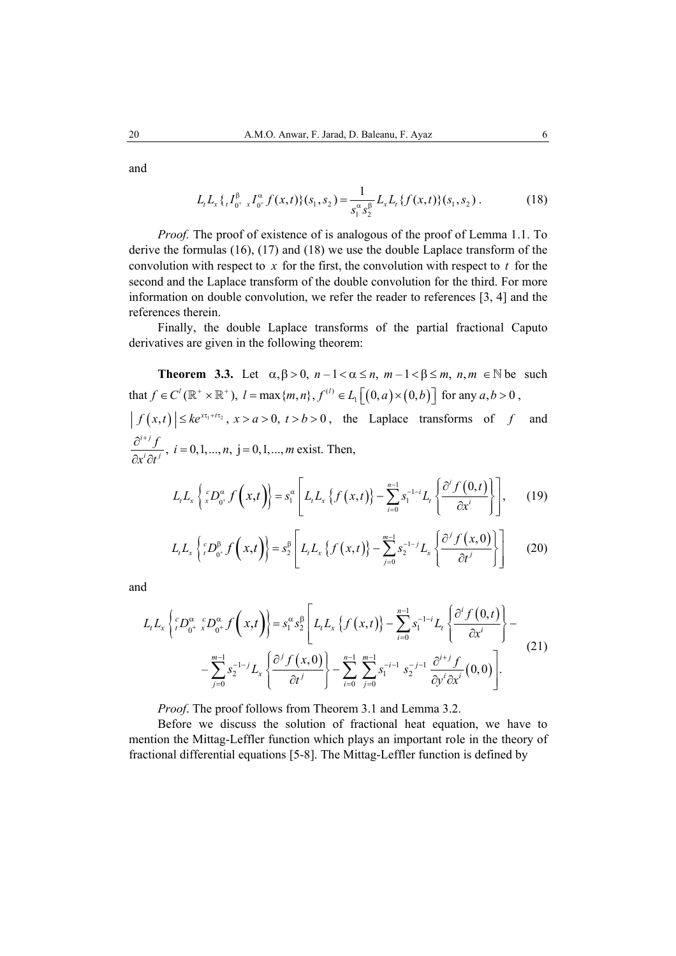and

$$
L_t L_x \{ _t I_{0^+}^{\beta} x I_{0^+}^{\alpha} f(x,t) \} (s_1, s_2) = \frac{1}{s_1^{\alpha} s_2^{\beta}} L_x L_t \{ f(x,t) \} (s_1, s_2).
$$
 (18)

*Proof.* The proof of existence of is analogous of the proof of Lemma 1.1. To derive the formulas (16), (17) and (18) we use the double Laplace transform of the convolution with respect to  $x$  for the first, the convolution with respect to  $t$  for the second and the Laplace transform of the double convolution for the third. For more information on double convolution, we refer the reader to references [3, 4] and the references therein.

Finally, the double Laplace transforms of the partial fractional Caputo derivatives are given in the following theorem:

**Theorem 3.3.** Let  $\alpha, \beta > 0$ ,  $n - 1 < \alpha \le n$ ,  $m - 1 < \beta \le m$ ,  $n, m \in \mathbb{N}$  be such that  $f \in C^l(\mathbb{R}^+ \times \mathbb{R}^+), l = \max\{m, n\}, f^{(l)} \in L_1[(0, a) \times (0, b)]$  for any  $a, b > 0$ ,  $| f(x,t) | \leq k e^{x \tau_1 + t \tau_2}, x > a > 0, t > b > 0$ , the Laplace transforms of *f* and  $i = 0,1,..., n, j = 0,1,...,$  $i+j$  $\frac{i}{i}$ ,  $\frac{j}{i}$ ,  $i = 0, 1, ..., n$ ,  $j = 0, 1, ..., m$  $\frac{\partial^{i+j} f}{\partial x^i \partial t^j}$ ,  $i = 0, 1, ..., n$ ,  $j = 0, 1, ..., m$  exist. Then,

$$
L_t L_x \left\{ {}^c_x D_{0^*}^\alpha f\left(x,t\right) \right\} = s_1^\alpha \left[ L_t L_x \left\{ f\left(x,t\right) \right\} - \sum_{i=0}^{n-1} s_1^{-1-i} L_i \left\{ \frac{\partial^i f\left(0,t\right)}{\partial x^i} \right\} \right],\qquad(19)
$$

$$
L_{t}L_{x}\left\{ {}_{t}^{c}D_{0^{+}}^{\beta}f\left(x,t\right)\right\} = s_{2}^{\beta}\left[L_{t}L_{x}\left\{ f\left(x,t\right)\right\} - \sum_{j=0}^{m-1} s_{2}^{-1-j}L_{x}\left\{ \frac{\partial^{j}f\left(x,0\right)}{\partial t^{j}}\right\} \right] \tag{20}
$$

and

$$
L_{t}L_{x}\left\{ {}_{t}^{c}D_{0^{+}}^{\alpha} {}_{x}^{c}D_{0^{+}}^{\alpha}f\left(x,t\right)\right\} = s_{1}^{\alpha} s_{2}^{\beta}\left[L_{t}L_{x}\left\{ f\left(x,t\right)\right\} - \sum_{i=0}^{n-1} s_{1}^{-1-i}L_{t}\left\{ \frac{\partial^{i} f\left(0,t\right)}{\partial x^{i}}\right\} - \sum_{j=0}^{n-1} s_{2}^{-1-j}L_{x}\left\{ \frac{\partial^{j} f\left(x,0\right)}{\partial t^{j}}\right\} - \sum_{i=0}^{n-1} \sum_{j=0}^{n-1} s_{1}^{-i-1} s_{2}^{-j-1} \frac{\partial^{i+j} f}{\partial y^{i} \partial x^{i}}(0,0)\right].
$$
\n(21)

*Proof*. The proof follows from Theorem 3.1 and Lemma 3.2.

Before we discuss the solution of fractional heat equation, we have to mention the Mittag-Leffler function which plays an important role in the theory of fractional differential equations [5-8]. The Mittag-Leffler function is defined by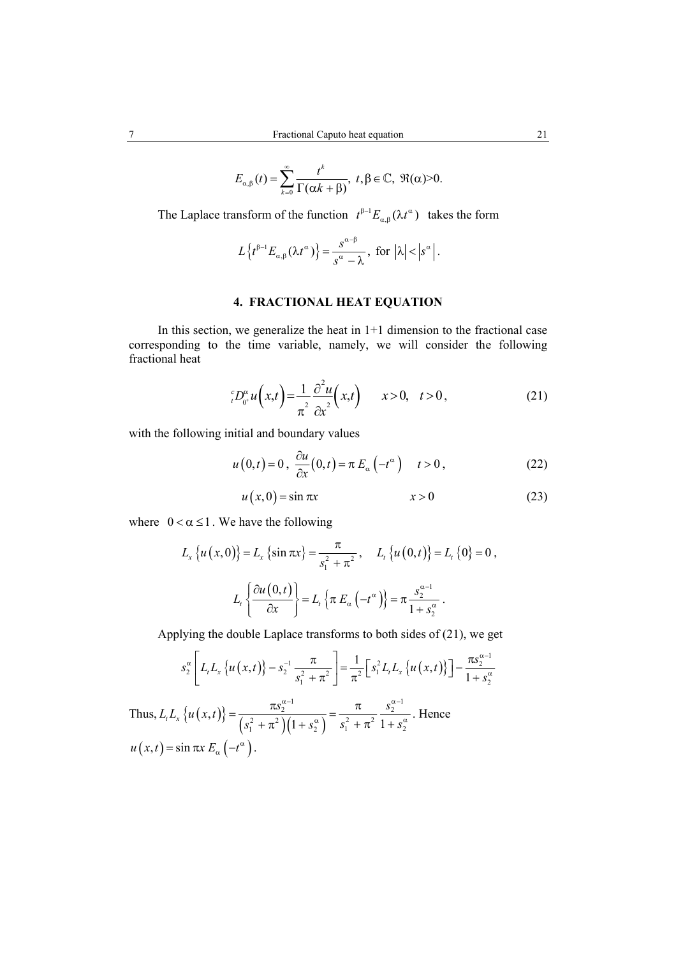$$
E_{\alpha,\beta}(t)=\sum_{k=0}^{\infty}\frac{t^k}{\Gamma(\alpha k+\beta)},\ t,\beta\in\mathbb{C},\ \Re(\alpha)>0.
$$

The Laplace transform of the function  $t^{\beta-1}E_{\alpha,\beta}(\lambda t^{\alpha})$  takes the form

$$
L\left\{t^{\beta-1}E_{\alpha,\beta}\left(\lambda t^{\alpha}\right)\right\}=\frac{s^{\alpha-\beta}}{s^{\alpha}-\lambda},\ \ \text{for}\ \ \left|\lambda\right|<\left|s^{\alpha}\right|.
$$

#### **4. FRACTIONAL HEAT EQUATION**

In this section, we generalize the heat in  $1+1$  dimension to the fractional case corresponding to the time variable, namely, we will consider the following fractional heat

$$
{}_{t}^{c}D_{0^{+}}^{\alpha}u\left(x,t\right)=\frac{1}{\pi^{2}}\frac{\partial^{2}u}{\partial x^{2}}\left(x,t\right) \qquad x>0, \quad t>0\,,
$$
 (21)

with the following initial and boundary values

$$
u(0,t) = 0, \frac{\partial u}{\partial x}(0,t) = \pi E_{\alpha}(-t^{\alpha}) \quad t > 0,
$$
 (22)

$$
u(x,0) = \sin \pi x \qquad x > 0 \tag{23}
$$

where  $0 < \alpha \leq 1$ . We have the following

$$
L_x \{u(x, 0)\} = L_x \{\sin \pi x\} = \frac{\pi}{s_1^2 + \pi^2}, \quad L_t \{u(0, t)\} = L_t \{0\} = 0,
$$
  

$$
L_t \left\{\frac{\partial u(0, t)}{\partial x}\right\} = L_t \left\{\pi E_\alpha \left(-t^\alpha\right)\right\} = \pi \frac{s_2^{\alpha - 1}}{1 + s_2^{\alpha}}.
$$

Applying the double Laplace transforms to both sides of (21), we get

$$
s_2^{\alpha} \left[ L_t L_x \left\{ u(x,t) \right\} - s_2^{-1} \frac{\pi}{s_1^2 + \pi^2} \right] = \frac{1}{\pi^2} \left[ s_1^2 L_t L_x \left\{ u(x,t) \right\} \right] - \frac{\pi s_2^{\alpha-1}}{1 + s_2^{\alpha}}
$$

Thus,  $L_t L_x \{ u(x,t) \} = \frac{\kappa s_2}{\left( s_1^2 + \pi^2 \right) \left( 1 + s_2^{\alpha} \right)}$  $\alpha^{-1}$   $\pi$   $S_2^{\alpha-1}$  $L_{t}L_{x}\left\{ u(x,t)\right\} =\frac{\pi s_{2}^{\alpha-1}}{\left(s_{1}^{2}+\pi^{2}\right)\left(1+s_{2}^{\alpha}\right)}=\frac{\pi}{s_{1}^{2}+\pi^{2}}\frac{s_{2}^{\alpha-1}}{1+s_{2}^{\alpha}}$  $s_1^2 + \pi^2 (1 + s_2^{\alpha}) \quad s_1^2 + \pi^2 (1 + s_1^2)$  $\alpha$ -1 a<sup> $\alpha$ </sup>  $=\frac{\pi s_2^{\alpha-1}}{(s_1^2+\pi^2)(1+s_2^{\alpha})}=\frac{\pi}{s_1^2+\pi^2}\frac{s_2^{\alpha-1}}{1+s_2^{\alpha}}$ . Hence  $u(x,t) = \sin \pi x E_{\alpha} (-t^{\alpha}).$